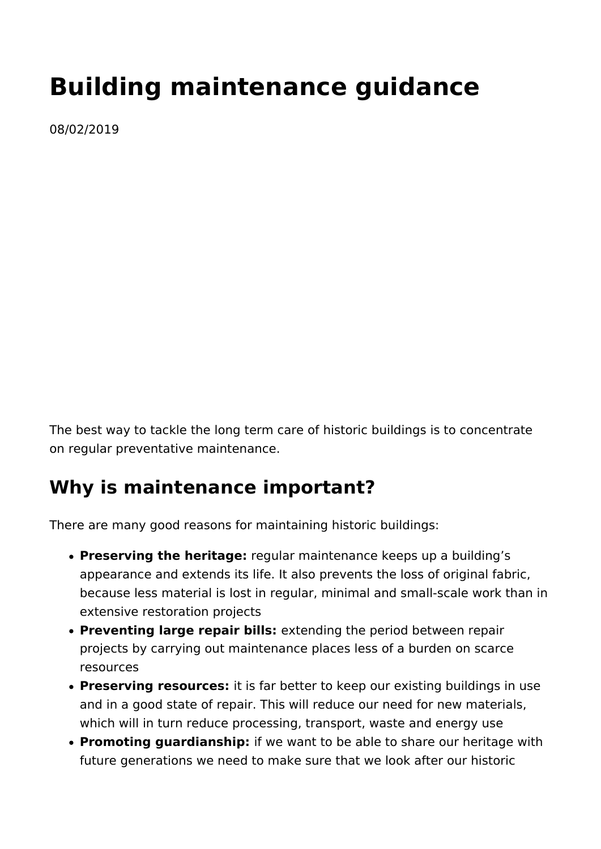# **Building maintenance guidance**

08/02/2019

The best way to tackle the long term care of historic buildings is to concentrate on regular preventative maintenance.

# **Why is maintenance important?**

There are many good reasons for maintaining historic buildings:

- **Preserving the heritage:** regular maintenance keeps up a building's appearance and extends its life. It also prevents the loss of original fabric, because less material is lost in regular, minimal and small-scale work than in extensive restoration projects
- **Preventing large repair bills:** extending the period between repair projects by carrying out maintenance places less of a burden on scarce resources
- **Preserving resources:** it is far better to keep our existing buildings in use and in a good state of repair. This will reduce our need for new materials, which will in turn reduce processing, transport, waste and energy use
- **Promoting guardianship:** if we want to be able to share our heritage with future generations we need to make sure that we look after our historic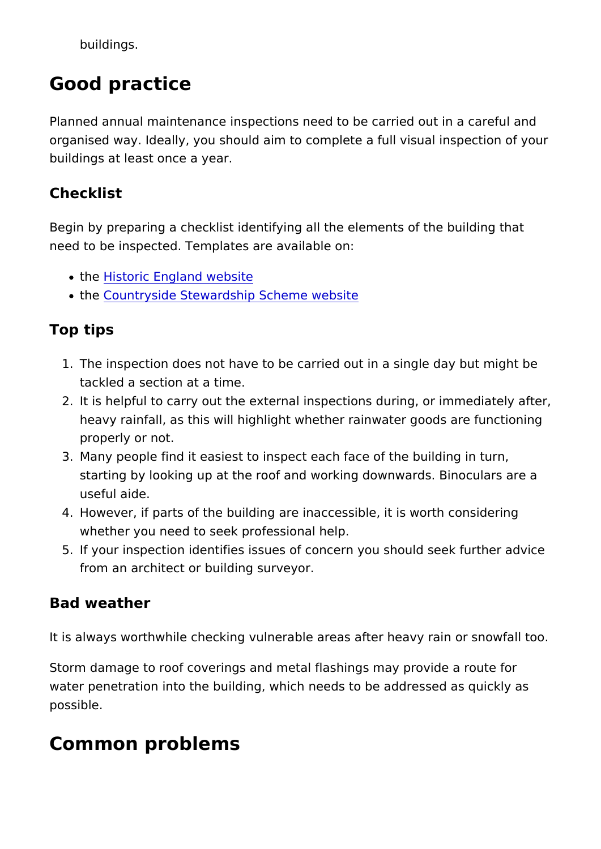buildings.

# Good practice

Planned annual maintenance inspections need to be carried out organised way. Ideally, you should aim to complete a full visua buildings at least once a year.

#### Checklist

Begin by preparing a checklist identifying all the elements of the need to be inspected. Templates are available on:

- th[e Historic England](https://historicengland.org.uk/advice/your-home/looking-after-your-home/maintenance/maintenance-checklist/) website
- . th[e Countryside Stewardship Sche](https://assets.publishing.service.gov.uk/government/uploads/system/uploads/attachment_data/file/598313/cs-building-plan-log-form.pdf)me website

#### Top tips

- 1. The inspection does not have to be carried out in a single d tackled a section at a time.
- 2.It is helpful to carry out the external inspections during, or heavy rainfall, as this will highlight whether rainwater good properly or not.
- 3. Many people find it easiest to inspect each face of the build starting by looking up at the roof and working downwards. B useful aide.
- 4. However, if parts of the building are inaccessible, it is wort whether you need to seek professional help.
- 5. If your inspection identifies issues of concern you should se from an architect or building surveyor.

#### Bad weather

It is always worthwhile checking vulnerable areas after heavy r

Storm damage to roof coverings and metal flashings may provid water penetration into the building, which needs to be addresse possible.

### Common problems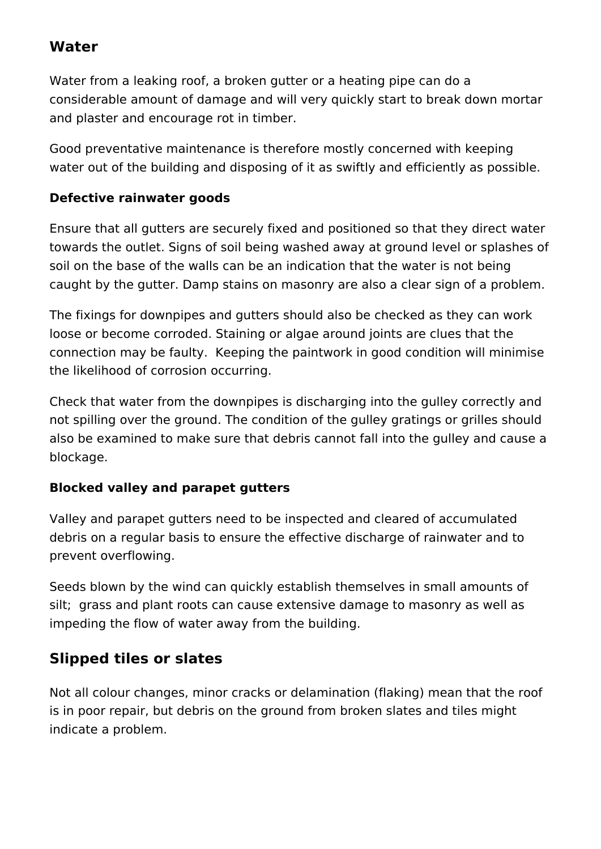### **Water**

Water from a leaking roof, a broken gutter or a heating pipe can do a considerable amount of damage and will very quickly start to break down mortar and plaster and encourage rot in timber.

Good preventative maintenance is therefore mostly concerned with keeping water out of the building and disposing of it as swiftly and efficiently as possible.

#### **Defective rainwater goods**

Ensure that all gutters are securely fixed and positioned so that they direct water towards the outlet. Signs of soil being washed away at ground level or splashes of soil on the base of the walls can be an indication that the water is not being caught by the gutter. Damp stains on masonry are also a clear sign of a problem.

The fixings for downpipes and gutters should also be checked as they can work loose or become corroded. Staining or algae around joints are clues that the connection may be faulty. Keeping the paintwork in good condition will minimise the likelihood of corrosion occurring.

Check that water from the downpipes is discharging into the gulley correctly and not spilling over the ground. The condition of the gulley gratings or grilles should also be examined to make sure that debris cannot fall into the gulley and cause a blockage.

#### **Blocked valley and parapet gutters**

Valley and parapet gutters need to be inspected and cleared of accumulated debris on a regular basis to ensure the effective discharge of rainwater and to prevent overflowing.

Seeds blown by the wind can quickly establish themselves in small amounts of silt: grass and plant roots can cause extensive damage to masonry as well as impeding the flow of water away from the building.

## **Slipped tiles or slates**

Not all colour changes, minor cracks or delamination (flaking) mean that the roof is in poor repair, but debris on the ground from broken slates and tiles might indicate a problem.